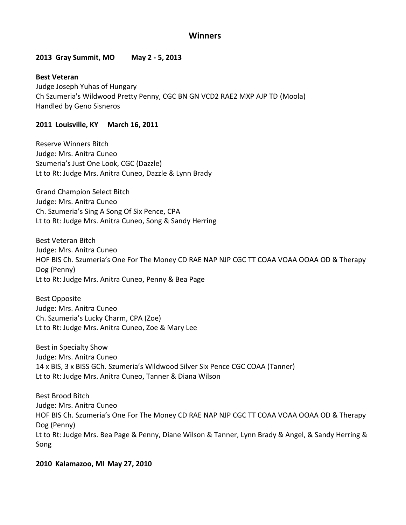# **Winners**

### **2013 Gray Summit, MO May 2 - 5, 2013**

**Best Veteran** Judge Joseph Yuhas of Hungary Ch Szumeria's Wildwood Pretty Penny, CGC BN GN VCD2 RAE2 MXP AJP TD (Moola) Handled by Geno Sisneros

### **2011 Louisville, KY March 16, 2011**

Reserve Winners Bitch Judge: Mrs. Anitra Cuneo Szumeria's Just One Look, CGC (Dazzle) Lt to Rt: Judge Mrs. Anitra Cuneo, Dazzle & Lynn Brady

Grand Champion Select Bitch Judge: Mrs. Anitra Cuneo Ch. Szumeria's Sing A Song Of Six Pence, CPA Lt to Rt: Judge Mrs. Anitra Cuneo, Song & Sandy Herring

Best Veteran Bitch Judge: Mrs. Anitra Cuneo HOF BIS Ch. Szumeria's One For The Money CD RAE NAP NJP CGC TT COAA VOAA OOAA OD & Therapy Dog (Penny) Lt to Rt: Judge Mrs. Anitra Cuneo, Penny & Bea Page

Best Opposite Judge: Mrs. Anitra Cuneo Ch. Szumeria's Lucky Charm, CPA (Zoe) Lt to Rt: Judge Mrs. Anitra Cuneo, Zoe & Mary Lee

Best in Specialty Show Judge: Mrs. Anitra Cuneo 14 x BIS, 3 x BISS GCh. Szumeria's Wildwood Silver Six Pence CGC COAA (Tanner) Lt to Rt: Judge Mrs. Anitra Cuneo, Tanner & Diana Wilson

Best Brood Bitch Judge: Mrs. Anitra Cuneo HOF BIS Ch. Szumeria's One For The Money CD RAE NAP NJP CGC TT COAA VOAA OOAA OD & Therapy Dog (Penny) Lt to Rt: Judge Mrs. Bea Page & Penny, Diane Wilson & Tanner, Lynn Brady & Angel, & Sandy Herring & Song

### **2010 Kalamazoo, MI May 27, 2010**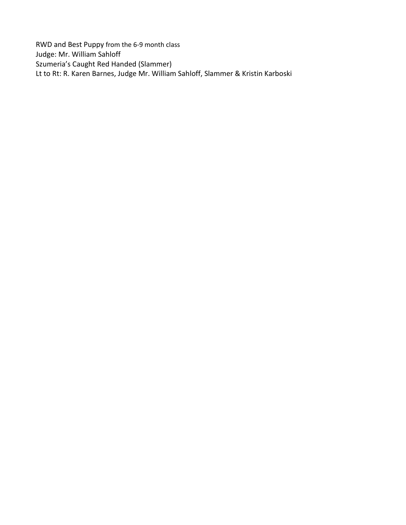RWD and Best Puppy from the 6-9 month class Judge: Mr. William Sahloff Szumeria's Caught Red Handed (Slammer) Lt to Rt: R. Karen Barnes, Judge Mr. William Sahloff, Slammer & Kristin Karboski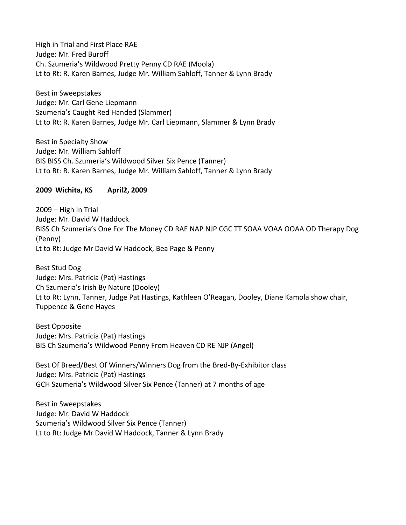High in Trial and First Place RAE Judge: Mr. Fred Buroff Ch. Szumeria's Wildwood Pretty Penny CD RAE (Moola) Lt to Rt: R. Karen Barnes, Judge Mr. William Sahloff, Tanner & Lynn Brady

Best in Sweepstakes Judge: Mr. Carl Gene Liepmann Szumeria's Caught Red Handed (Slammer) Lt to Rt: R. Karen Barnes, Judge Mr. Carl Liepmann, Slammer & Lynn Brady

Best in Specialty Show Judge: Mr. William Sahloff BIS BISS Ch. Szumeria's Wildwood Silver Six Pence (Tanner) Lt to Rt: R. Karen Barnes, Judge Mr. William Sahloff, Tanner & Lynn Brady

# **2009 Wichita, KS April2, 2009**

2009 – High In Trial Judge: Mr. David W Haddock BISS Ch Szumeria's One For The Money CD RAE NAP NJP CGC TT SOAA VOAA OOAA OD Therapy Dog (Penny) Lt to Rt: Judge Mr David W Haddock, Bea Page & Penny

Best Stud Dog Judge: Mrs. Patricia (Pat) Hastings Ch Szumeria's Irish By Nature (Dooley) Lt to Rt: Lynn, Tanner, Judge Pat Hastings, Kathleen O'Reagan, Dooley, Diane Kamola show chair, Tuppence & Gene Hayes

Best Opposite Judge: Mrs. Patricia (Pat) Hastings BIS Ch Szumeria's Wildwood Penny From Heaven CD RE NJP (Angel)

Best Of Breed/Best Of Winners/Winners Dog from the Bred-By-Exhibitor class Judge: Mrs. Patricia (Pat) Hastings GCH Szumeria's Wildwood Silver Six Pence (Tanner) at 7 months of age

Best in Sweepstakes Judge: Mr. David W Haddock Szumeria's Wildwood Silver Six Pence (Tanner) Lt to Rt: Judge Mr David W Haddock, Tanner & Lynn Brady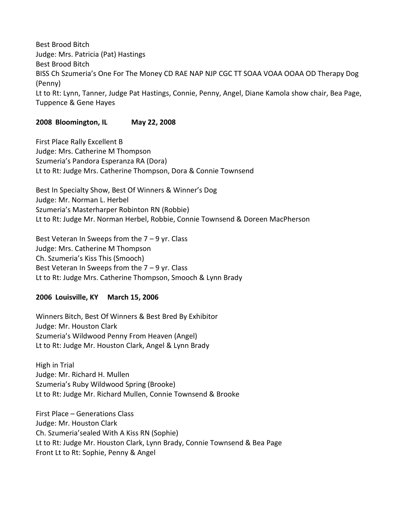Best Brood Bitch Judge: Mrs. Patricia (Pat) Hastings Best Brood Bitch BISS Ch Szumeria's One For The Money CD RAE NAP NJP CGC TT SOAA VOAA OOAA OD Therapy Dog (Penny) Lt to Rt: Lynn, Tanner, Judge Pat Hastings, Connie, Penny, Angel, Diane Kamola show chair, Bea Page, Tuppence & Gene Hayes

# **2008 Bloomington, IL May 22, 2008**

First Place Rally Excellent B Judge: Mrs. Catherine M Thompson Szumeria's Pandora Esperanza RA (Dora) Lt to Rt: Judge Mrs. Catherine Thompson, Dora & Connie Townsend

Best In Specialty Show, Best Of Winners & Winner's Dog Judge: Mr. Norman L. Herbel Szumeria's Masterharper Robinton RN (Robbie) Lt to Rt: Judge Mr. Norman Herbel, Robbie, Connie Townsend & Doreen MacPherson

Best Veteran In Sweeps from the 7 – 9 yr. Class Judge: Mrs. Catherine M Thompson Ch. Szumeria's Kiss This (Smooch) Best Veteran In Sweeps from the 7 – 9 yr. Class Lt to Rt: Judge Mrs. Catherine Thompson, Smooch & Lynn Brady

# **2006 Louisville, KY March 15, 2006**

Winners Bitch, Best Of Winners & Best Bred By Exhibitor Judge: Mr. Houston Clark Szumeria's Wildwood Penny From Heaven (Angel) Lt to Rt: Judge Mr. Houston Clark, Angel & Lynn Brady

High in Trial Judge: Mr. Richard H. Mullen Szumeria's Ruby Wildwood Spring (Brooke) Lt to Rt: Judge Mr. Richard Mullen, Connie Townsend & Brooke

First Place – Generations Class Judge: Mr. Houston Clark Ch. Szumeria'sealed With A Kiss RN (Sophie) Lt to Rt: Judge Mr. Houston Clark, Lynn Brady, Connie Townsend & Bea Page Front Lt to Rt: Sophie, Penny & Angel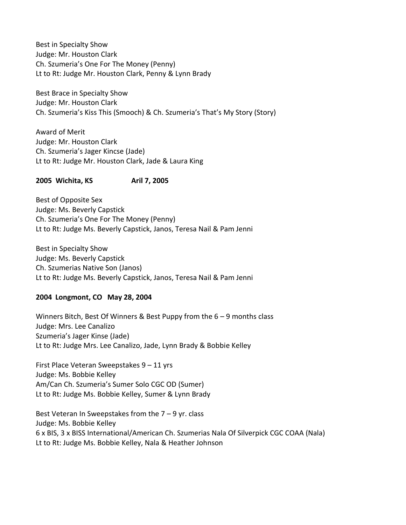Best in Specialty Show Judge: Mr. Houston Clark Ch. Szumeria's One For The Money (Penny) Lt to Rt: Judge Mr. Houston Clark, Penny & Lynn Brady

Best Brace in Specialty Show Judge: Mr. Houston Clark Ch. Szumeria's Kiss This (Smooch) & Ch. Szumeria's That's My Story (Story)

Award of Merit Judge: Mr. Houston Clark Ch. Szumeria's Jager Kincse (Jade) Lt to Rt: Judge Mr. Houston Clark, Jade & Laura King

# **2005 Wichita, KS Aril 7, 2005**

Best of Opposite Sex Judge: Ms. Beverly Capstick Ch. Szumeria's One For The Money (Penny) Lt to Rt: Judge Ms. Beverly Capstick, Janos, Teresa Nail & Pam Jenni

Best in Specialty Show Judge: Ms. Beverly Capstick Ch. Szumerias Native Son (Janos) Lt to Rt: Judge Ms. Beverly Capstick, Janos, Teresa Nail & Pam Jenni

### **2004 Longmont, CO May 28, 2004**

Winners Bitch, Best Of Winners & Best Puppy from the 6 – 9 months class Judge: Mrs. Lee Canalizo Szumeria's Jager Kinse (Jade) Lt to Rt: Judge Mrs. Lee Canalizo, Jade, Lynn Brady & Bobbie Kelley

First Place Veteran Sweepstakes 9 – 11 yrs Judge: Ms. Bobbie Kelley Am/Can Ch. Szumeria's Sumer Solo CGC OD (Sumer) Lt to Rt: Judge Ms. Bobbie Kelley, Sumer & Lynn Brady

Best Veteran In Sweepstakes from the 7 – 9 yr. class Judge: Ms. Bobbie Kelley 6 x BIS, 3 x BISS International/American Ch. Szumerias Nala Of Silverpick CGC COAA (Nala) Lt to Rt: Judge Ms. Bobbie Kelley, Nala & Heather Johnson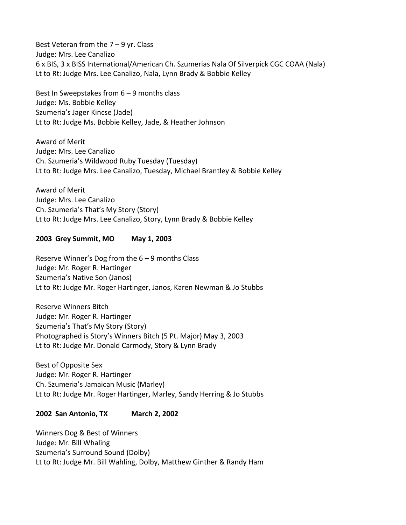Best Veteran from the  $7 - 9$  yr. Class Judge: Mrs. Lee Canalizo 6 x BIS, 3 x BISS International/American Ch. Szumerias Nala Of Silverpick CGC COAA (Nala) Lt to Rt: Judge Mrs. Lee Canalizo, Nala, Lynn Brady & Bobbie Kelley

Best In Sweepstakes from 6 – 9 months class Judge: Ms. Bobbie Kelley Szumeria's Jager Kincse (Jade) Lt to Rt: Judge Ms. Bobbie Kelley, Jade, & Heather Johnson

Award of Merit Judge: Mrs. Lee Canalizo Ch. Szumeria's Wildwood Ruby Tuesday (Tuesday) Lt to Rt: Judge Mrs. Lee Canalizo, Tuesday, Michael Brantley & Bobbie Kelley

Award of Merit Judge: Mrs. Lee Canalizo Ch. Szumeria's That's My Story (Story) Lt to Rt: Judge Mrs. Lee Canalizo, Story, Lynn Brady & Bobbie Kelley

**2003 Grey Summit, MO May 1, 2003**

Reserve Winner's Dog from the 6 – 9 months Class Judge: Mr. Roger R. Hartinger Szumeria's Native Son (Janos) Lt to Rt: Judge Mr. Roger Hartinger, Janos, Karen Newman & Jo Stubbs

Reserve Winners Bitch Judge: Mr. Roger R. Hartinger Szumeria's That's My Story (Story) Photographed is Story's Winners Bitch (5 Pt. Major) May 3, 2003 Lt to Rt: Judge Mr. Donald Carmody, Story & Lynn Brady

Best of Opposite Sex Judge: Mr. Roger R. Hartinger Ch. Szumeria's Jamaican Music (Marley) Lt to Rt: Judge Mr. Roger Hartinger, Marley, Sandy Herring & Jo Stubbs

# **2002 San Antonio, TX March 2, 2002**

Winners Dog & Best of Winners Judge: Mr. Bill Whaling Szumeria's Surround Sound (Dolby) Lt to Rt: Judge Mr. Bill Wahling, Dolby, Matthew Ginther & Randy Ham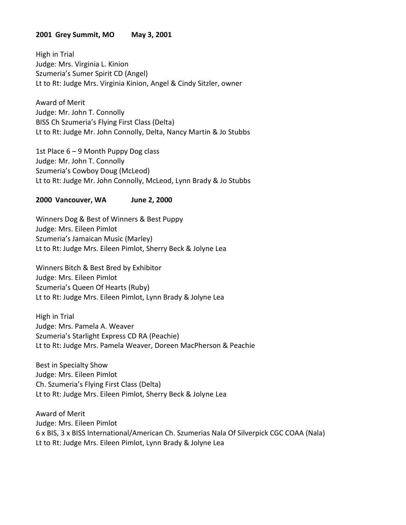### **2001 Grey Summit, MO May 3, 2001**

High in Trial Judge: Mrs. Virginia L. Kinion Szumeria's Sumer Spirit CD (Angel) Lt to Rt: Judge Mrs. Virginia Kinion, Angel & Cindy Sitzler, owner

Award of Merit Judge: Mr. John T. Connolly BISS Ch Szumeria's Flying First Class (Delta) Lt to Rt: Judge Mr. John Connolly, Delta, Nancy Martin & Jo Stubbs

1st Place 6 – 9 Month Puppy Dog class Judge: Mr. John T. Connolly Szumeria's Cowboy Doug (McLeod) Lt to Rt: Judge Mr. John Connolly, McLeod, Lynn Brady & Jo Stubbs

### **2000 Vancouver, WA June 2, 2000**

Winners Dog & Best of Winners & Best Puppy Judge: Mrs. Eileen Pimlot Szumeria's Jamaican Music (Marley) Lt to Rt: Judge Mrs. Eileen Pimlot, Sherry Beck & Jolyne Lea

Winners Bitch & Best Bred by Exhibitor Judge: Mrs. Eileen Pimlot Szumeria's Queen Of Hearts (Ruby) Lt to Rt: Judge Mrs. Eileen Pimlot, Lynn Brady & Jolyne Lea

High in Trial Judge: Mrs. Pamela A. Weaver Szumeria's Starlight Express CD RA (Peachie) Lt to Rt: Judge Mrs. Pamela Weaver, Doreen MacPherson & Peachie

Best in Specialty Show Judge: Mrs. Eileen Pimlot Ch. Szumeria's Flying First Class (Delta) Lt to Rt: Judge Mrs. Eileen Pimlot, Sherry Beck & Jolyne Lea

Award of Merit Judge: Mrs. Eileen Pimlot 6 x BIS, 3 x BISS International/American Ch. Szumerias Nala Of Silverpick CGC COAA (Nala) Lt to Rt: Judge Mrs. Eileen Pimlot, Lynn Brady & Jolyne Lea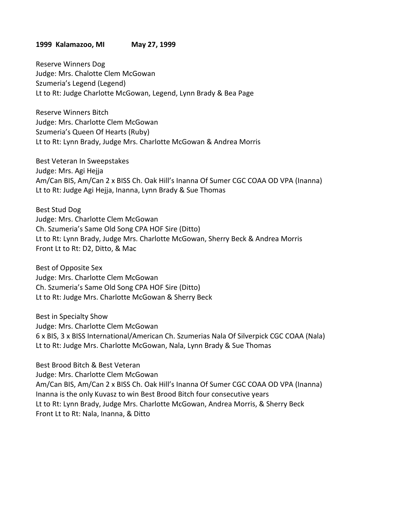#### **1999 Kalamazoo, MI May 27, 1999**

Reserve Winners Dog Judge: Mrs. Chalotte Clem McGowan Szumeria's Legend (Legend) Lt to Rt: Judge Charlotte McGowan, Legend, Lynn Brady & Bea Page

Reserve Winners Bitch Judge: Mrs. Charlotte Clem McGowan Szumeria's Queen Of Hearts (Ruby) Lt to Rt: Lynn Brady, Judge Mrs. Charlotte McGowan & Andrea Morris

Best Veteran In Sweepstakes Judge: Mrs. Agi Hejja Am/Can BIS, Am/Can 2 x BISS Ch. Oak Hill's Inanna Of Sumer CGC COAA OD VPA (Inanna) Lt to Rt: Judge Agi Hejja, Inanna, Lynn Brady & Sue Thomas

Best Stud Dog Judge: Mrs. Charlotte Clem McGowan Ch. Szumeria's Same Old Song CPA HOF Sire (Ditto) Lt to Rt: Lynn Brady, Judge Mrs. Charlotte McGowan, Sherry Beck & Andrea Morris Front Lt to Rt: D2, Ditto, & Mac

Best of Opposite Sex Judge: Mrs. Charlotte Clem McGowan Ch. Szumeria's Same Old Song CPA HOF Sire (Ditto) Lt to Rt: Judge Mrs. Charlotte McGowan & Sherry Beck

Best in Specialty Show Judge: Mrs. Charlotte Clem McGowan 6 x BIS, 3 x BISS International/American Ch. Szumerias Nala Of Silverpick CGC COAA (Nala) Lt to Rt: Judge Mrs. Charlotte McGowan, Nala, Lynn Brady & Sue Thomas

Best Brood Bitch & Best Veteran Judge: Mrs. Charlotte Clem McGowan Am/Can BIS, Am/Can 2 x BISS Ch. Oak Hill's Inanna Of Sumer CGC COAA OD VPA (Inanna) Inanna is the only Kuvasz to win Best Brood Bitch four consecutive years Lt to Rt: Lynn Brady, Judge Mrs. Charlotte McGowan, Andrea Morris, & Sherry Beck Front Lt to Rt: Nala, Inanna, & Ditto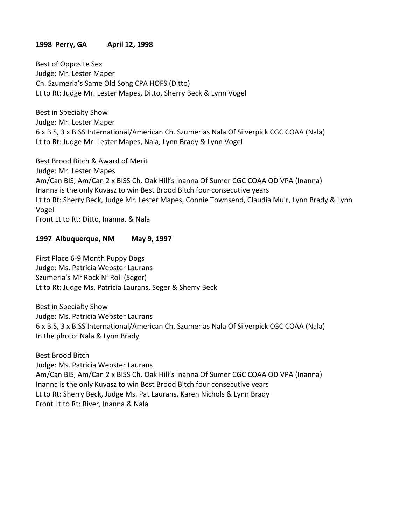# **1998 Perry, GA April 12, 1998**

Best of Opposite Sex Judge: Mr. Lester Maper Ch. Szumeria's Same Old Song CPA HOFS (Ditto) Lt to Rt: Judge Mr. Lester Mapes, Ditto, Sherry Beck & Lynn Vogel

Best in Specialty Show Judge: Mr. Lester Maper 6 x BIS, 3 x BISS International/American Ch. Szumerias Nala Of Silverpick CGC COAA (Nala) Lt to Rt: Judge Mr. Lester Mapes, Nala, Lynn Brady & Lynn Vogel

Best Brood Bitch & Award of Merit Judge: Mr. Lester Mapes Am/Can BIS, Am/Can 2 x BISS Ch. Oak Hill's Inanna Of Sumer CGC COAA OD VPA (Inanna) Inanna is the only Kuvasz to win Best Brood Bitch four consecutive years Lt to Rt: Sherry Beck, Judge Mr. Lester Mapes, Connie Townsend, Claudia Muir, Lynn Brady & Lynn Vogel Front Lt to Rt: Ditto, Inanna, & Nala

### **1997 Albuquerque, NM May 9, 1997**

First Place 6-9 Month Puppy Dogs Judge: Ms. Patricia Webster Laurans Szumeria's Mr Rock N' Roll (Seger) Lt to Rt: Judge Ms. Patricia Laurans, Seger & Sherry Beck

Best in Specialty Show Judge: Ms. Patricia Webster Laurans 6 x BIS, 3 x BISS International/American Ch. Szumerias Nala Of Silverpick CGC COAA (Nala) In the photo: Nala & Lynn Brady

Best Brood Bitch Judge: Ms. Patricia Webster Laurans Am/Can BIS, Am/Can 2 x BISS Ch. Oak Hill's Inanna Of Sumer CGC COAA OD VPA (Inanna) Inanna is the only Kuvasz to win Best Brood Bitch four consecutive years Lt to Rt: Sherry Beck, Judge Ms. Pat Laurans, Karen Nichols & Lynn Brady Front Lt to Rt: River, Inanna & Nala